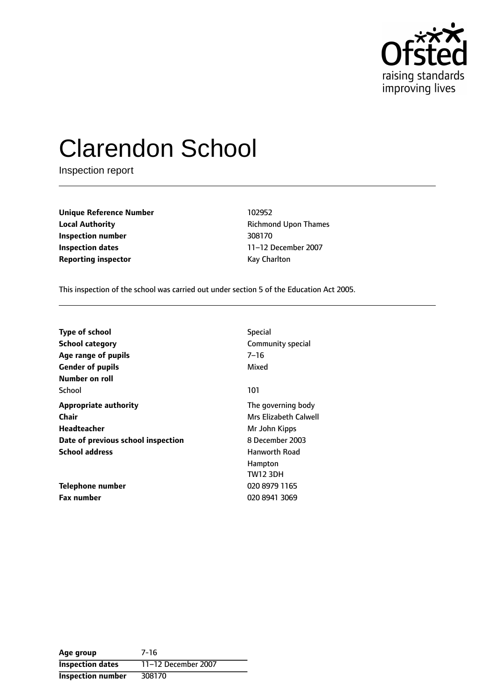

# Clarendon School

Inspection report

**Unique Reference Number** 102952 **Local Authority Constanting Richmond Upon Thames Inspection number** 308170 **Inspection dates** 11-12 December 2007 **Reporting inspector CONFIDENTIAL REPORTING** Kay Charlton

This inspection of the school was carried out under section 5 of the Education Act 2005.

| <b>Type of school</b>              | <b>Special</b>        |
|------------------------------------|-----------------------|
| <b>School category</b>             | Community special     |
| Age range of pupils                | $7 - 16$              |
| <b>Gender of pupils</b>            | Mixed                 |
| Number on roll                     |                       |
| School                             | 101                   |
| <b>Appropriate authority</b>       | The governing body    |
| <b>Chair</b>                       | Mrs Elizabeth Calwell |
| Headteacher                        | Mr John Kipps         |
| Date of previous school inspection | 8 December 2003       |
| <b>School address</b>              | <b>Hanworth Road</b>  |
|                                    | Hampton               |
|                                    | TW12 3DH              |
| Telephone number                   | 020 8979 1165         |
| <b>Fax number</b>                  | 020 8941 3069         |

**Age group** 7-16 **Inspection dates** 11-12 December 2007 **Inspection number** 308170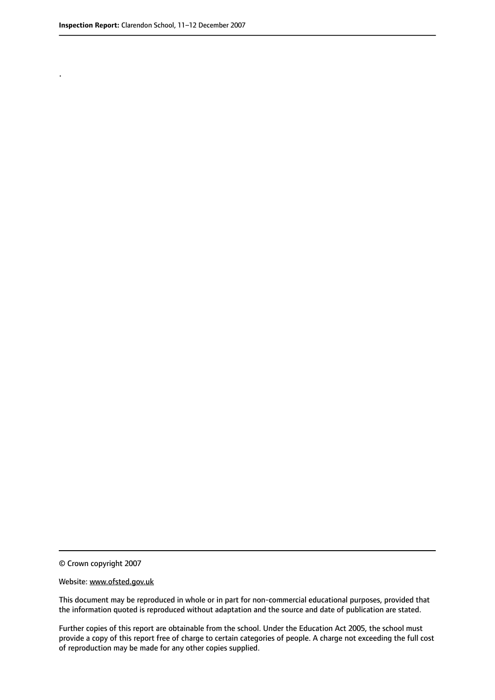.

This document may be reproduced in whole or in part for non-commercial educational purposes, provided that the information quoted is reproduced without adaptation and the source and date of publication are stated.

Further copies of this report are obtainable from the school. Under the Education Act 2005, the school must provide a copy of this report free of charge to certain categories of people. A charge not exceeding the full cost of reproduction may be made for any other copies supplied.

<sup>©</sup> Crown copyright 2007

Website: www.ofsted.gov.uk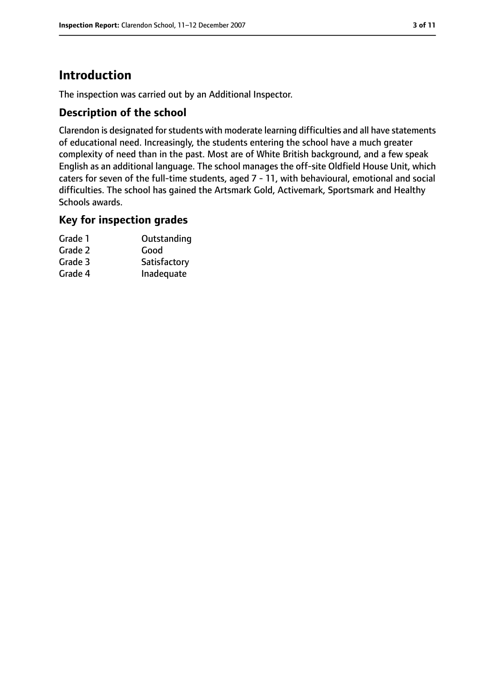# **Introduction**

The inspection was carried out by an Additional Inspector.

#### **Description of the school**

Clarendon is designated for students with moderate learning difficulties and all have statements of educational need. Increasingly, the students entering the school have a much greater complexity of need than in the past. Most are of White British background, and a few speak English as an additional language. The school manages the off-site Oldfield House Unit, which caters for seven of the full-time students, aged 7 - 11, with behavioural, emotional and social difficulties. The school has gained the Artsmark Gold, Activemark, Sportsmark and Healthy Schools awards.

#### **Key for inspection grades**

| Grade 1 | Outstanding  |
|---------|--------------|
| Grade 2 | Good         |
| Grade 3 | Satisfactory |
| Grade 4 | Inadequate   |
|         |              |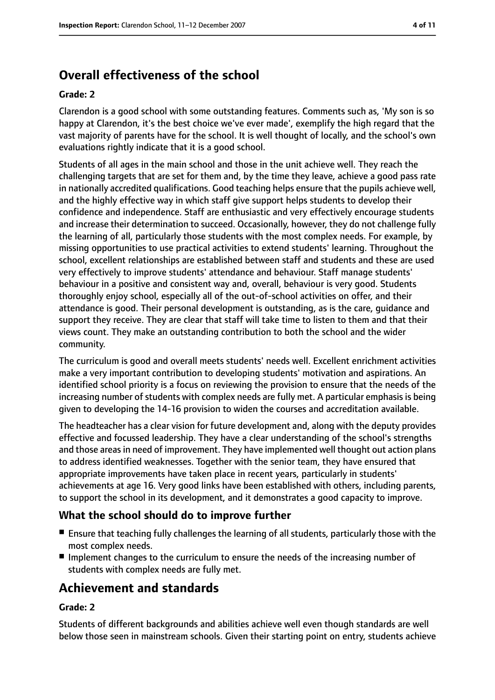# **Overall effectiveness of the school**

#### **Grade: 2**

Clarendon is a good school with some outstanding features. Comments such as, 'My son is so happy at Clarendon, it's the best choice we've ever made', exemplify the high regard that the vast majority of parents have for the school. It is well thought of locally, and the school's own evaluations rightly indicate that it is a good school.

Students of all ages in the main school and those in the unit achieve well. They reach the challenging targets that are set for them and, by the time they leave, achieve a good pass rate in nationally accredited qualifications. Good teaching helps ensure that the pupils achieve well, and the highly effective way in which staff give support helps students to develop their confidence and independence. Staff are enthusiastic and very effectively encourage students and increase their determination to succeed. Occasionally, however, they do not challenge fully the learning of all, particularly those students with the most complex needs. For example, by missing opportunities to use practical activities to extend students' learning. Throughout the school, excellent relationships are established between staff and students and these are used very effectively to improve students' attendance and behaviour. Staff manage students' behaviour in a positive and consistent way and, overall, behaviour is very good. Students thoroughly enjoy school, especially all of the out-of-school activities on offer, and their attendance is good. Their personal development is outstanding, as is the care, guidance and support they receive. They are clear that staff will take time to listen to them and that their views count. They make an outstanding contribution to both the school and the wider community.

The curriculum is good and overall meets students' needs well. Excellent enrichment activities make a very important contribution to developing students' motivation and aspirations. An identified school priority is a focus on reviewing the provision to ensure that the needs of the increasing number of students with complex needs are fully met. A particular emphasis is being given to developing the 14-16 provision to widen the courses and accreditation available.

The headteacher has a clear vision for future development and, along with the deputy provides effective and focussed leadership. They have a clear understanding of the school's strengths and those areas in need of improvement. They have implemented well thought out action plans to address identified weaknesses. Together with the senior team, they have ensured that appropriate improvements have taken place in recent years, particularly in students' achievements at age 16. Very good links have been established with others, including parents, to support the school in its development, and it demonstrates a good capacity to improve.

### **What the school should do to improve further**

- Ensure that teaching fully challenges the learning of all students, particularly those with the most complex needs.
- Implement changes to the curriculum to ensure the needs of the increasing number of students with complex needs are fully met.

## **Achievement and standards**

#### **Grade: 2**

Students of different backgrounds and abilities achieve well even though standards are well below those seen in mainstream schools. Given their starting point on entry, students achieve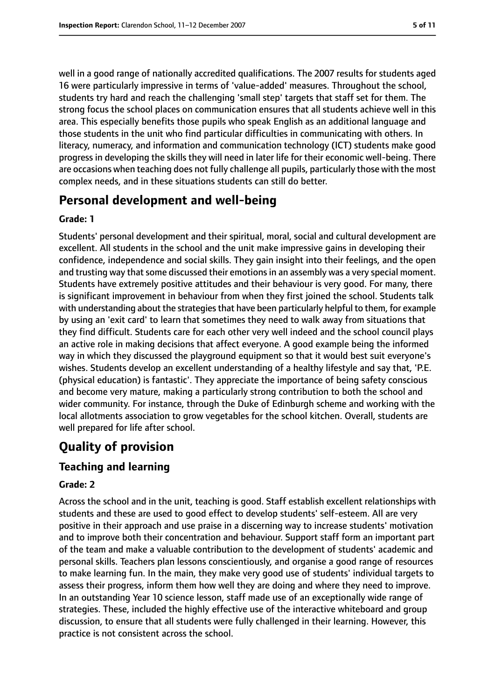well in a good range of nationally accredited qualifications. The 2007 results for students aged 16 were particularly impressive in terms of 'value-added' measures. Throughout the school, students try hard and reach the challenging 'small step' targets that staff set for them. The strong focus the school places on communication ensures that all students achieve well in this area. This especially benefits those pupils who speak English as an additional language and those students in the unit who find particular difficulties in communicating with others. In literacy, numeracy, and information and communication technology (ICT) students make good progress in developing the skills they will need in later life for their economic well-being. There are occasions when teaching does not fully challenge all pupils, particularly those with the most complex needs, and in these situations students can still do better.

## **Personal development and well-being**

#### **Grade: 1**

Students' personal development and their spiritual, moral, social and cultural development are excellent. All students in the school and the unit make impressive gains in developing their confidence, independence and social skills. They gain insight into their feelings, and the open and trusting way that some discussed their emotions in an assembly was a very special moment. Students have extremely positive attitudes and their behaviour is very good. For many, there is significant improvement in behaviour from when they first joined the school. Students talk with understanding about the strategies that have been particularly helpful to them, for example by using an 'exit card' to learn that sometimes they need to walk away from situations that they find difficult. Students care for each other very well indeed and the school council plays an active role in making decisions that affect everyone. A good example being the informed way in which they discussed the playground equipment so that it would best suit everyone's wishes. Students develop an excellent understanding of a healthy lifestyle and say that, 'P.E. (physical education) is fantastic'. They appreciate the importance of being safety conscious and become very mature, making a particularly strong contribution to both the school and wider community. For instance, through the Duke of Edinburgh scheme and working with the local allotments association to grow vegetables for the school kitchen. Overall, students are well prepared for life after school.

## **Quality of provision**

#### **Teaching and learning**

#### **Grade: 2**

Across the school and in the unit, teaching is good. Staff establish excellent relationships with students and these are used to good effect to develop students' self-esteem. All are very positive in their approach and use praise in a discerning way to increase students' motivation and to improve both their concentration and behaviour. Support staff form an important part of the team and make a valuable contribution to the development of students' academic and personal skills. Teachers plan lessons conscientiously, and organise a good range of resources to make learning fun. In the main, they make very good use of students' individual targets to assess their progress, inform them how well they are doing and where they need to improve. In an outstanding Year 10 science lesson, staff made use of an exceptionally wide range of strategies. These, included the highly effective use of the interactive whiteboard and group discussion, to ensure that all students were fully challenged in their learning. However, this practice is not consistent across the school.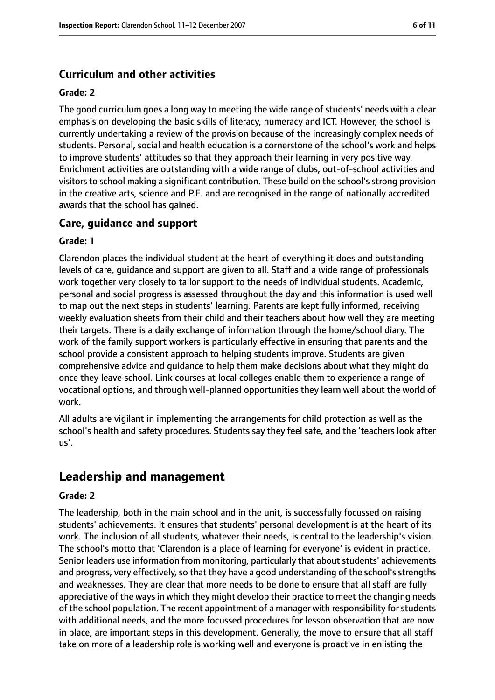## **Curriculum and other activities**

#### **Grade: 2**

The good curriculum goes a long way to meeting the wide range of students' needs with a clear emphasis on developing the basic skills of literacy, numeracy and ICT. However, the school is currently undertaking a review of the provision because of the increasingly complex needs of students. Personal, social and health education is a cornerstone of the school's work and helps to improve students' attitudes so that they approach their learning in very positive way. Enrichment activities are outstanding with a wide range of clubs, out-of-school activities and visitors to school making a significant contribution. These build on the school's strong provision in the creative arts, science and P.E. and are recognised in the range of nationally accredited awards that the school has gained.

#### **Care, guidance and support**

#### **Grade: 1**

Clarendon places the individual student at the heart of everything it does and outstanding levels of care, guidance and support are given to all. Staff and a wide range of professionals work together very closely to tailor support to the needs of individual students. Academic, personal and social progress is assessed throughout the day and this information is used well to map out the next steps in students' learning. Parents are kept fully informed, receiving weekly evaluation sheets from their child and their teachers about how well they are meeting their targets. There is a daily exchange of information through the home/school diary. The work of the family support workers is particularly effective in ensuring that parents and the school provide a consistent approach to helping students improve. Students are given comprehensive advice and guidance to help them make decisions about what they might do once they leave school. Link courses at local colleges enable them to experience a range of vocational options, and through well-planned opportunities they learn well about the world of work.

All adults are vigilant in implementing the arrangements for child protection as well as the school's health and safety procedures. Students say they feel safe, and the 'teachers look after us'.

## **Leadership and management**

#### **Grade: 2**

The leadership, both in the main school and in the unit, is successfully focussed on raising students' achievements. It ensures that students' personal development is at the heart of its work. The inclusion of all students, whatever their needs, is central to the leadership's vision. The school's motto that 'Clarendon is a place of learning for everyone' is evident in practice. Senior leaders use information from monitoring, particularly that about students' achievements and progress, very effectively, so that they have a good understanding of the school's strengths and weaknesses. They are clear that more needs to be done to ensure that all staff are fully appreciative of the ways in which they might develop their practice to meet the changing needs of the school population. The recent appointment of a manager with responsibility forstudents with additional needs, and the more focussed procedures for lesson observation that are now in place, are important steps in this development. Generally, the move to ensure that all staff take on more of a leadership role is working well and everyone is proactive in enlisting the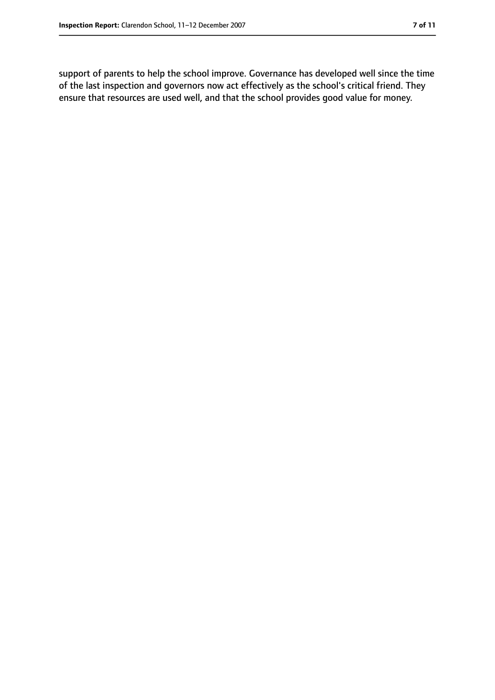support of parents to help the school improve. Governance has developed well since the time of the last inspection and governors now act effectively as the school's critical friend. They ensure that resources are used well, and that the school provides good value for money.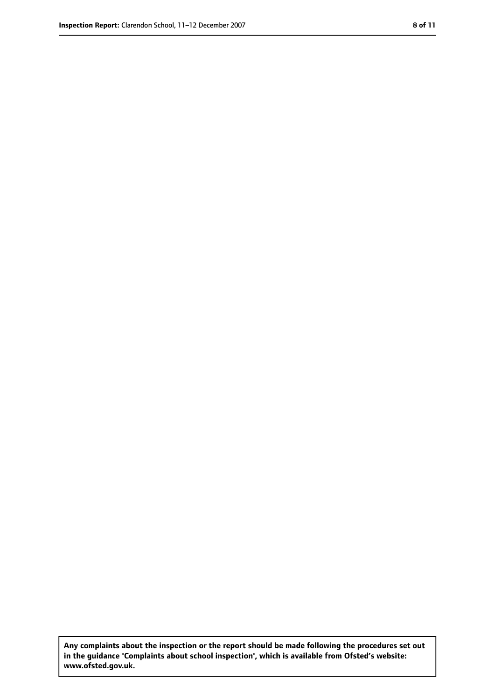**Any complaints about the inspection or the report should be made following the procedures set out in the guidance 'Complaints about school inspection', which is available from Ofsted's website: www.ofsted.gov.uk.**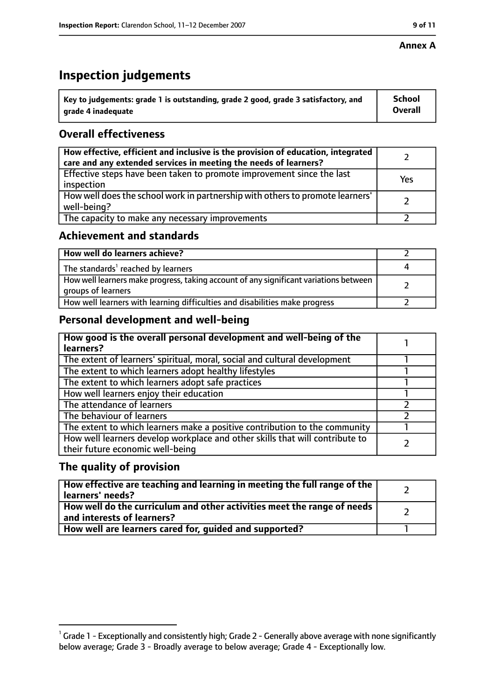#### **Annex A**

# **Inspection judgements**

| $^{\backprime}$ Key to judgements: grade 1 is outstanding, grade 2 good, grade 3 satisfactory, and | <b>School</b>  |
|----------------------------------------------------------------------------------------------------|----------------|
| arade 4 inadeguate                                                                                 | <b>Overall</b> |

## **Overall effectiveness**

| How effective, efficient and inclusive is the provision of education, integrated<br>care and any extended services in meeting the needs of learners? |     |
|------------------------------------------------------------------------------------------------------------------------------------------------------|-----|
| Effective steps have been taken to promote improvement since the last<br>inspection                                                                  | Yes |
| How well does the school work in partnership with others to promote learners'<br>well-being?                                                         |     |
| The capacity to make any necessary improvements                                                                                                      |     |

## **Achievement and standards**

| How well do learners achieve?                                                                               |  |
|-------------------------------------------------------------------------------------------------------------|--|
| The standards <sup>1</sup> reached by learners                                                              |  |
| How well learners make progress, taking account of any significant variations between<br>groups of learners |  |
| How well learners with learning difficulties and disabilities make progress                                 |  |

## **Personal development and well-being**

| How good is the overall personal development and well-being of the<br>learners?                                  |  |
|------------------------------------------------------------------------------------------------------------------|--|
| The extent of learners' spiritual, moral, social and cultural development                                        |  |
| The extent to which learners adopt healthy lifestyles                                                            |  |
| The extent to which learners adopt safe practices                                                                |  |
| How well learners enjoy their education                                                                          |  |
| The attendance of learners                                                                                       |  |
| The behaviour of learners                                                                                        |  |
| The extent to which learners make a positive contribution to the community                                       |  |
| How well learners develop workplace and other skills that will contribute to<br>their future economic well-being |  |

#### **The quality of provision**

| How effective are teaching and learning in meeting the full range of the<br>learners' needs?          |  |
|-------------------------------------------------------------------------------------------------------|--|
| How well do the curriculum and other activities meet the range of needs<br>and interests of learners? |  |
| How well are learners cared for, guided and supported?                                                |  |

 $^1$  Grade 1 - Exceptionally and consistently high; Grade 2 - Generally above average with none significantly below average; Grade 3 - Broadly average to below average; Grade 4 - Exceptionally low.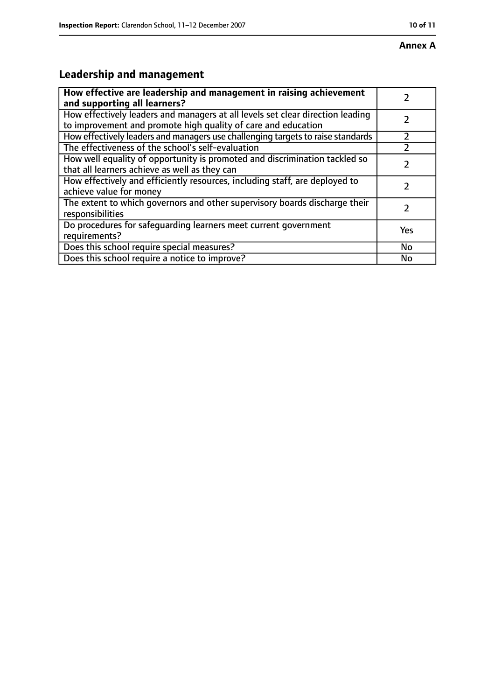# **Annex A**

# **Leadership and management**

| How effective are leadership and management in raising achievement              |     |
|---------------------------------------------------------------------------------|-----|
| and supporting all learners?                                                    |     |
| How effectively leaders and managers at all levels set clear direction leading  |     |
| to improvement and promote high quality of care and education                   |     |
| How effectively leaders and managers use challenging targets to raise standards |     |
| The effectiveness of the school's self-evaluation                               |     |
| How well equality of opportunity is promoted and discrimination tackled so      |     |
| that all learners achieve as well as they can                                   |     |
| How effectively and efficiently resources, including staff, are deployed to     | 7   |
| achieve value for money                                                         |     |
| The extent to which governors and other supervisory boards discharge their      |     |
| responsibilities                                                                |     |
| Do procedures for safequarding learners meet current government                 | Yes |
| requirements?                                                                   |     |
| Does this school require special measures?                                      | No  |
| Does this school require a notice to improve?                                   | No  |